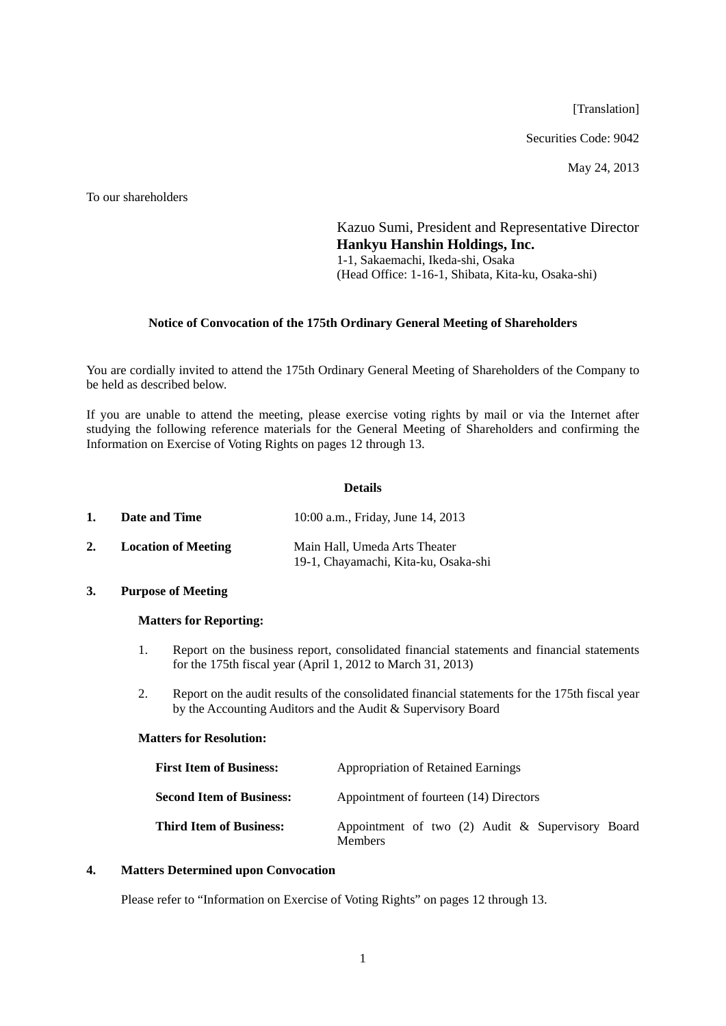[Translation] Securities Code: 9042 May 24, 2013

To our shareholders

Kazuo Sumi, President and Representative Director **Hankyu Hanshin Holdings, Inc.**  1-1, Sakaemachi, Ikeda-shi, Osaka (Head Office: 1-16-1, Shibata, Kita-ku, Osaka-shi)

## **Notice of Convocation of the 175th Ordinary General Meeting of Shareholders**

You are cordially invited to attend the 175th Ordinary General Meeting of Shareholders of the Company to be held as described below.

If you are unable to attend the meeting, please exercise voting rights by mail or via the Internet after studying the following reference materials for the General Meeting of Shareholders and confirming the Information on Exercise of Voting Rights on pages 12 through 13.

## **Details**

| 1. | Date and Time              | 10:00 a.m., Friday, June 14, 2013                                     |
|----|----------------------------|-----------------------------------------------------------------------|
| 2. | <b>Location of Meeting</b> | Main Hall, Umeda Arts Theater<br>19-1, Chayamachi, Kita-ku, Osaka-shi |

**3. Purpose of Meeting** 

## **Matters for Reporting:**

- 1. Report on the business report, consolidated financial statements and financial statements for the 175th fiscal year (April 1, 2012 to March 31, 2013)
- 2. Report on the audit results of the consolidated financial statements for the 175th fiscal year by the Accounting Auditors and the Audit & Supervisory Board

#### **Matters for Resolution:**

| <b>First Item of Business:</b>  | <b>Appropriation of Retained Earnings</b>                          |  |  |  |
|---------------------------------|--------------------------------------------------------------------|--|--|--|
| <b>Second Item of Business:</b> | Appointment of fourteen (14) Directors                             |  |  |  |
| <b>Third Item of Business:</b>  | Appointment of two (2) Audit & Supervisory Board<br><b>Members</b> |  |  |  |

### **4. Matters Determined upon Convocation**

Please refer to "Information on Exercise of Voting Rights" on pages 12 through 13.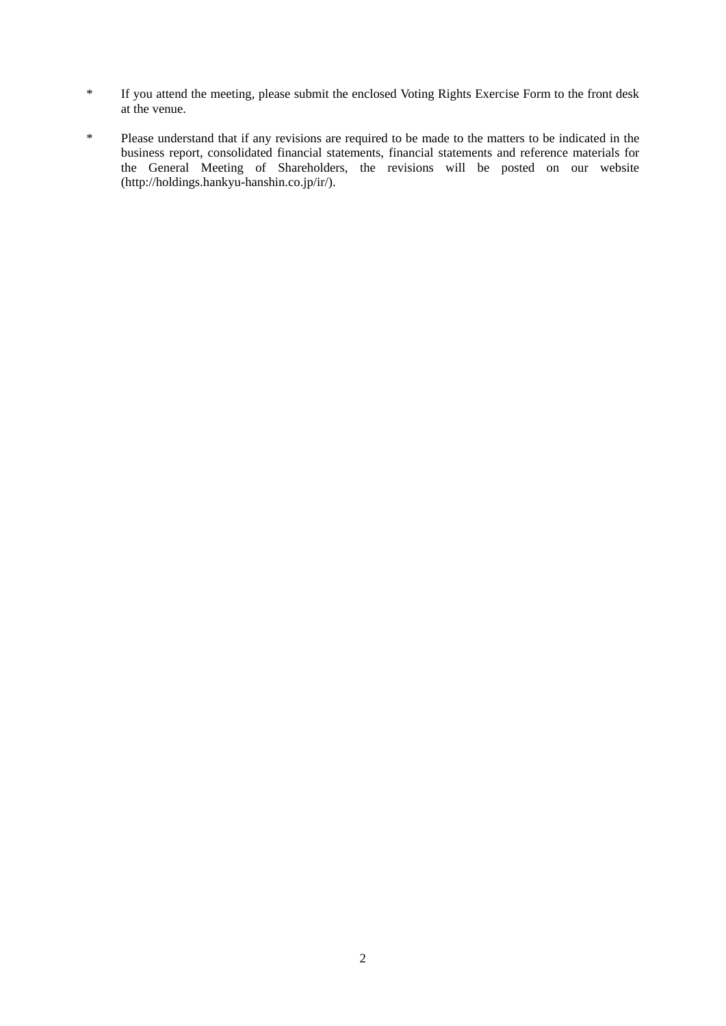- \* If you attend the meeting, please submit the enclosed Voting Rights Exercise Form to the front desk at the venue.
- \* Please understand that if any revisions are required to be made to the matters to be indicated in the business report, consolidated financial statements, financial statements and reference materials for the General Meeting of Shareholders, the revisions will be posted on our website (http://holdings.hankyu-hanshin.co.jp/ir/).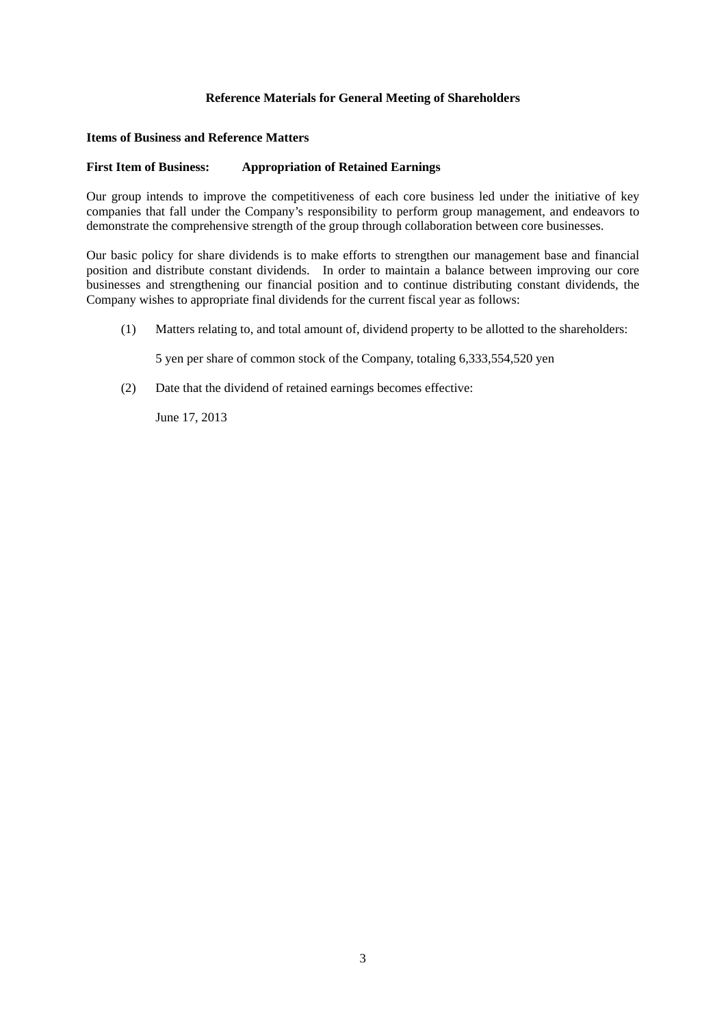## **Reference Materials for General Meeting of Shareholders**

#### **Items of Business and Reference Matters**

### **First Item of Business: Appropriation of Retained Earnings**

Our group intends to improve the competitiveness of each core business led under the initiative of key companies that fall under the Company's responsibility to perform group management, and endeavors to demonstrate the comprehensive strength of the group through collaboration between core businesses.

Our basic policy for share dividends is to make efforts to strengthen our management base and financial position and distribute constant dividends. In order to maintain a balance between improving our core businesses and strengthening our financial position and to continue distributing constant dividends, the Company wishes to appropriate final dividends for the current fiscal year as follows:

(1) Matters relating to, and total amount of, dividend property to be allotted to the shareholders:

5 yen per share of common stock of the Company, totaling 6,333,554,520 yen

(2) Date that the dividend of retained earnings becomes effective:

June 17, 2013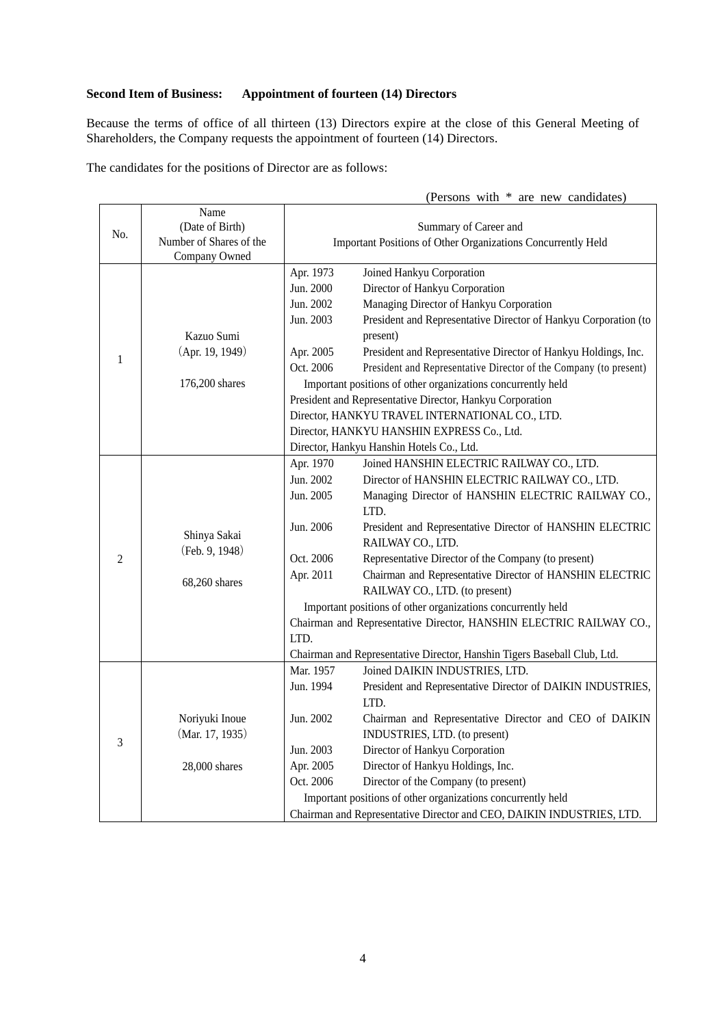## **Second Item of Business: Appointment of fourteen (14) Directors**

Because the terms of office of all thirteen (13) Directors expire at the close of this General Meeting of Shareholders, the Company requests the appointment of fourteen (14) Directors.

The candidates for the positions of Director are as follows:

|                  | Name                    |                                                                                                                                       |                                                                   |  |  |
|------------------|-------------------------|---------------------------------------------------------------------------------------------------------------------------------------|-------------------------------------------------------------------|--|--|
| N <sub>0</sub> . | (Date of Birth)         | Summary of Career and                                                                                                                 |                                                                   |  |  |
|                  | Number of Shares of the | Important Positions of Other Organizations Concurrently Held                                                                          |                                                                   |  |  |
|                  | Company Owned           |                                                                                                                                       |                                                                   |  |  |
|                  |                         | Apr. 1973                                                                                                                             | Joined Hankyu Corporation                                         |  |  |
|                  |                         | Jun. 2000                                                                                                                             | Director of Hankyu Corporation                                    |  |  |
|                  |                         | Jun. 2002                                                                                                                             | Managing Director of Hankyu Corporation                           |  |  |
|                  |                         | Jun. 2003                                                                                                                             | President and Representative Director of Hankyu Corporation (to   |  |  |
|                  | Kazuo Sumi              |                                                                                                                                       | present)                                                          |  |  |
|                  | (Apr. 19, 1949)         | Apr. 2005                                                                                                                             | President and Representative Director of Hankyu Holdings, Inc.    |  |  |
| $\mathbf{1}$     |                         | Oct. 2006                                                                                                                             | President and Representative Director of the Company (to present) |  |  |
|                  | 176,200 shares          | Important positions of other organizations concurrently held                                                                          |                                                                   |  |  |
|                  |                         | President and Representative Director, Hankyu Corporation                                                                             |                                                                   |  |  |
|                  |                         |                                                                                                                                       | Director, HANKYU TRAVEL INTERNATIONAL CO., LTD.                   |  |  |
|                  |                         |                                                                                                                                       | Director, HANKYU HANSHIN EXPRESS Co., Ltd.                        |  |  |
|                  |                         |                                                                                                                                       | Director, Hankyu Hanshin Hotels Co., Ltd.                         |  |  |
|                  |                         | Apr. 1970                                                                                                                             | Joined HANSHIN ELECTRIC RAILWAY CO., LTD.                         |  |  |
|                  |                         | Jun. 2002                                                                                                                             | Director of HANSHIN ELECTRIC RAILWAY CO., LTD.                    |  |  |
|                  |                         | Jun. 2005                                                                                                                             | Managing Director of HANSHIN ELECTRIC RAILWAY CO.,                |  |  |
|                  |                         |                                                                                                                                       | LTD.                                                              |  |  |
|                  |                         | Jun. 2006                                                                                                                             | President and Representative Director of HANSHIN ELECTRIC         |  |  |
|                  | Shinya Sakai            |                                                                                                                                       | RAILWAY CO., LTD.                                                 |  |  |
| $\overline{2}$   | (Feb. 9, 1948)          | Oct. 2006                                                                                                                             | Representative Director of the Company (to present)               |  |  |
|                  | 68,260 shares           | Apr. 2011                                                                                                                             | Chairman and Representative Director of HANSHIN ELECTRIC          |  |  |
|                  |                         |                                                                                                                                       | RAILWAY CO., LTD. (to present)                                    |  |  |
|                  |                         | Important positions of other organizations concurrently held                                                                          |                                                                   |  |  |
|                  |                         | Chairman and Representative Director, HANSHIN ELECTRIC RAILWAY CO.,                                                                   |                                                                   |  |  |
|                  |                         | LTD.                                                                                                                                  |                                                                   |  |  |
|                  |                         | Chairman and Representative Director, Hanshin Tigers Baseball Club, Ltd.                                                              |                                                                   |  |  |
|                  |                         | Mar. 1957                                                                                                                             | Joined DAIKIN INDUSTRIES, LTD.                                    |  |  |
|                  |                         | Jun. 1994                                                                                                                             | President and Representative Director of DAIKIN INDUSTRIES,       |  |  |
|                  |                         |                                                                                                                                       | LTD.                                                              |  |  |
|                  | Noriyuki Inoue          | Jun. 2002                                                                                                                             | Chairman and Representative Director and CEO of DAIKIN            |  |  |
|                  | (Mar. 17, 1935)         |                                                                                                                                       | INDUSTRIES, LTD. (to present)                                     |  |  |
| 3                |                         | Jun. 2003                                                                                                                             | Director of Hankyu Corporation                                    |  |  |
|                  | 28,000 shares           | Apr. 2005                                                                                                                             | Director of Hankyu Holdings, Inc.                                 |  |  |
|                  |                         | Oct. 2006                                                                                                                             | Director of the Company (to present)                              |  |  |
|                  |                         | Important positions of other organizations concurrently held<br>Chairman and Representative Director and CEO, DAIKIN INDUSTRIES, LTD. |                                                                   |  |  |
|                  |                         |                                                                                                                                       |                                                                   |  |  |

(Persons with \* are new candidates)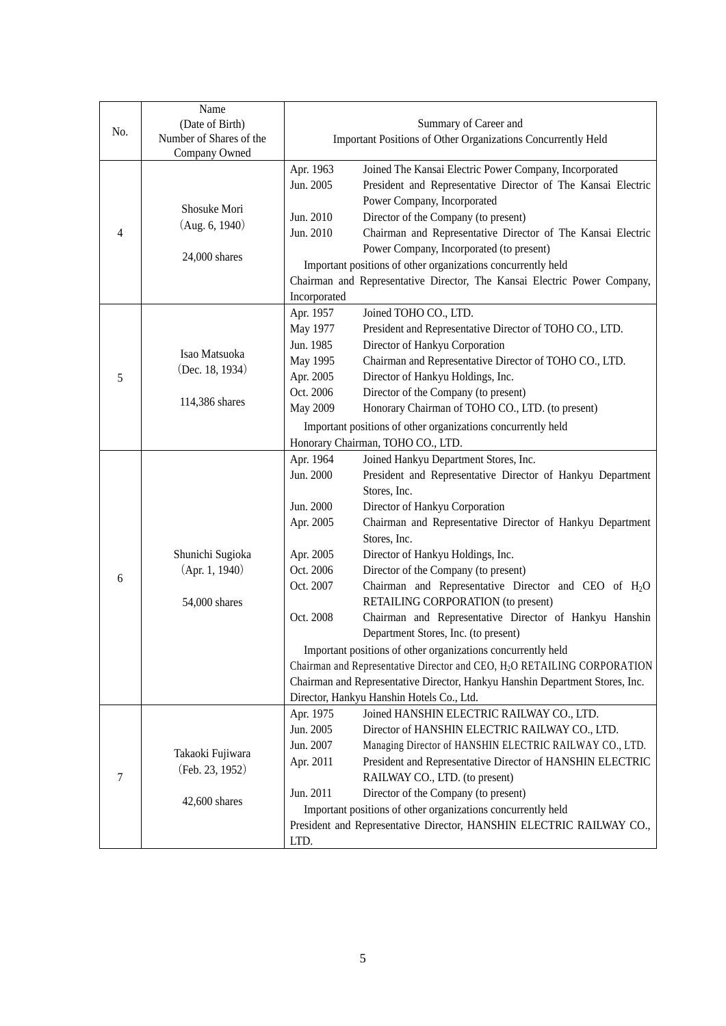| No. | Name<br>(Date of Birth)<br>Number of Shares of the<br>Company Owned | Summary of Career and<br>Important Positions of Other Organizations Concurrently Held                                                                                                                                                                                                                                    |                                                                                                                                                                                                                                                                                                                                                                                                                                                                                                                                                                                    |
|-----|---------------------------------------------------------------------|--------------------------------------------------------------------------------------------------------------------------------------------------------------------------------------------------------------------------------------------------------------------------------------------------------------------------|------------------------------------------------------------------------------------------------------------------------------------------------------------------------------------------------------------------------------------------------------------------------------------------------------------------------------------------------------------------------------------------------------------------------------------------------------------------------------------------------------------------------------------------------------------------------------------|
| 4   | Shosuke Mori<br>(Aug. 6, 1940)<br>24,000 shares                     | Apr. 1963<br>Jun. 2005<br>Power Company, Incorporated<br>Jun. 2010<br>Jun. 2010<br>Important positions of other organizations concurrently held<br>Incorporated                                                                                                                                                          | Joined The Kansai Electric Power Company, Incorporated<br>President and Representative Director of The Kansai Electric<br>Director of the Company (to present)<br>Chairman and Representative Director of The Kansai Electric<br>Power Company, Incorporated (to present)<br>Chairman and Representative Director, The Kansai Electric Power Company,                                                                                                                                                                                                                              |
| 5   | Isao Matsuoka<br>(Dec. 18, 1934)<br>114,386 shares                  | Apr. 1957<br>Joined TOHO CO., LTD.<br>May 1977<br>Jun. 1985<br>Director of Hankyu Corporation<br>May 1995<br>Apr. 2005<br>Director of Hankyu Holdings, Inc.<br>Oct. 2006<br><b>May 2009</b><br>Important positions of other organizations concurrently held<br>Honorary Chairman, TOHO CO., LTD.                         | President and Representative Director of TOHO CO., LTD.<br>Chairman and Representative Director of TOHO CO., LTD.<br>Director of the Company (to present)<br>Honorary Chairman of TOHO CO., LTD. (to present)                                                                                                                                                                                                                                                                                                                                                                      |
| 6   | Shunichi Sugioka<br>(Apr. 1, 1940)<br>54,000 shares                 | Apr. 1964<br>Jun. 2000<br>Stores, Inc.<br>Jun. 2000<br>Director of Hankyu Corporation<br>Apr. 2005<br>Stores, Inc.<br>Director of Hankyu Holdings, Inc.<br>Apr. 2005<br>Oct. 2006<br>Oct. 2007<br>Oct. 2008<br>Important positions of other organizations concurrently held<br>Director, Hankyu Hanshin Hotels Co., Ltd. | Joined Hankyu Department Stores, Inc.<br>President and Representative Director of Hankyu Department<br>Chairman and Representative Director of Hankyu Department<br>Director of the Company (to present)<br>Chairman and Representative Director and CEO of $H_2O$<br>RETAILING CORPORATION (to present)<br>Chairman and Representative Director of Hankyu Hanshin<br>Department Stores, Inc. (to present)<br>Chairman and Representative Director and CEO, H <sub>2</sub> O RETAILING CORPORATION<br>Chairman and Representative Director, Hankyu Hanshin Department Stores, Inc. |
| 7   | Takaoki Fujiwara<br>(Feb. 23, 1952)<br>42,600 shares                | Apr. 1975<br>Jun. 2005<br>Jun. 2007<br>Apr. 2011<br>RAILWAY CO., LTD. (to present)<br>Jun. 2011<br>Important positions of other organizations concurrently held<br>LTD.                                                                                                                                                  | Joined HANSHIN ELECTRIC RAILWAY CO., LTD.<br>Director of HANSHIN ELECTRIC RAILWAY CO., LTD.<br>Managing Director of HANSHIN ELECTRIC RAILWAY CO., LTD.<br>President and Representative Director of HANSHIN ELECTRIC<br>Director of the Company (to present)<br>President and Representative Director, HANSHIN ELECTRIC RAILWAY CO.,                                                                                                                                                                                                                                                |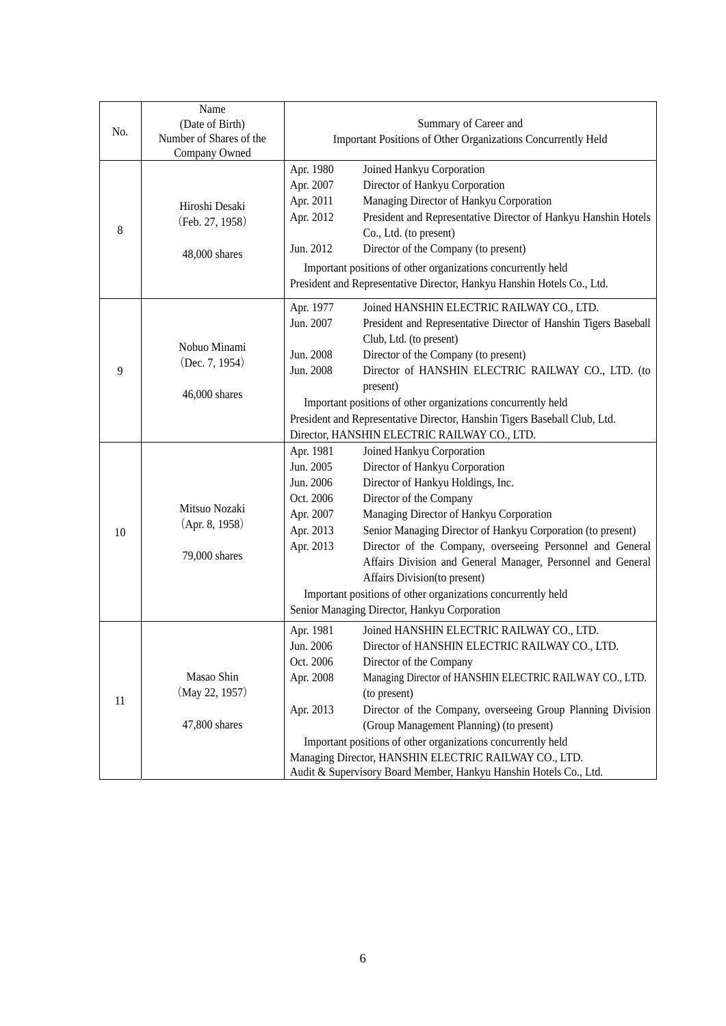| No.                                          | Name<br>(Date of Birth)                  | Summary of Career and                                                     |                                                                                                         |  |
|----------------------------------------------|------------------------------------------|---------------------------------------------------------------------------|---------------------------------------------------------------------------------------------------------|--|
|                                              | Number of Shares of the<br>Company Owned | Important Positions of Other Organizations Concurrently Held              |                                                                                                         |  |
|                                              |                                          | Apr. 1980                                                                 | Joined Hankyu Corporation                                                                               |  |
|                                              |                                          | Apr. 2007                                                                 | Director of Hankyu Corporation                                                                          |  |
|                                              | Hiroshi Desaki                           | Apr. 2011                                                                 | Managing Director of Hankyu Corporation                                                                 |  |
| 8                                            | (Feb. 27, 1958)                          | Apr. 2012                                                                 | President and Representative Director of Hankyu Hanshin Hotels<br>Co., Ltd. (to present)                |  |
|                                              | 48,000 shares                            | Jun. 2012                                                                 | Director of the Company (to present)                                                                    |  |
|                                              |                                          |                                                                           | Important positions of other organizations concurrently held                                            |  |
|                                              |                                          | President and Representative Director, Hankyu Hanshin Hotels Co., Ltd.    |                                                                                                         |  |
|                                              |                                          | Apr. 1977                                                                 | Joined HANSHIN ELECTRIC RAILWAY CO., LTD.                                                               |  |
|                                              |                                          | Jun. 2007                                                                 | President and Representative Director of Hanshin Tigers Baseball                                        |  |
|                                              | Nobuo Minami                             |                                                                           | Club, Ltd. (to present)                                                                                 |  |
|                                              | (Dec. 7, 1954)                           | Jun. 2008                                                                 | Director of the Company (to present)                                                                    |  |
| 9                                            |                                          | Jun. 2008                                                                 | Director of HANSHIN ELECTRIC RAILWAY CO., LTD. (to                                                      |  |
|                                              | 46,000 shares                            |                                                                           | present)                                                                                                |  |
|                                              |                                          |                                                                           | Important positions of other organizations concurrently held                                            |  |
|                                              |                                          | President and Representative Director, Hanshin Tigers Baseball Club, Ltd. |                                                                                                         |  |
|                                              |                                          |                                                                           | Director, HANSHIN ELECTRIC RAILWAY CO., LTD.                                                            |  |
|                                              |                                          | Apr. 1981                                                                 | Joined Hankyu Corporation                                                                               |  |
|                                              |                                          | Jun. 2005                                                                 | Director of Hankyu Corporation                                                                          |  |
|                                              |                                          | Jun. 2006                                                                 | Director of Hankyu Holdings, Inc.                                                                       |  |
|                                              | Mitsuo Nozaki                            | Oct. 2006                                                                 | Director of the Company                                                                                 |  |
|                                              | (Apr. 8, 1958)                           | Apr. 2007                                                                 | Managing Director of Hankyu Corporation                                                                 |  |
| 10                                           |                                          | Apr. 2013                                                                 | Senior Managing Director of Hankyu Corporation (to present)                                             |  |
|                                              | 79,000 shares                            | Apr. 2013                                                                 | Director of the Company, overseeing Personnel and General                                               |  |
|                                              |                                          |                                                                           | Affairs Division and General Manager, Personnel and General                                             |  |
|                                              |                                          | Affairs Division(to present)                                              |                                                                                                         |  |
|                                              |                                          | Important positions of other organizations concurrently held              |                                                                                                         |  |
| Senior Managing Director, Hankyu Corporation |                                          |                                                                           |                                                                                                         |  |
|                                              |                                          | Apr. 1981                                                                 | Joined HANSHIN ELECTRIC RAILWAY CO., LTD.                                                               |  |
|                                              |                                          | Jun. 2006                                                                 | Director of HANSHIN ELECTRIC RAILWAY CO., LTD.                                                          |  |
|                                              | Masao Shin                               | Oct. 2006                                                                 | Director of the Company                                                                                 |  |
|                                              |                                          | Apr. 2008                                                                 | Managing Director of HANSHIN ELECTRIC RAILWAY CO., LTD.                                                 |  |
| 11                                           | (May 22, 1957)                           |                                                                           | (to present)                                                                                            |  |
|                                              | 47,800 shares                            | Apr. 2013                                                                 | Director of the Company, overseeing Group Planning Division<br>(Group Management Planning) (to present) |  |
|                                              |                                          | Important positions of other organizations concurrently held              |                                                                                                         |  |
|                                              |                                          | Managing Director, HANSHIN ELECTRIC RAILWAY CO., LTD.                     |                                                                                                         |  |
|                                              |                                          | Audit & Supervisory Board Member, Hankyu Hanshin Hotels Co., Ltd.         |                                                                                                         |  |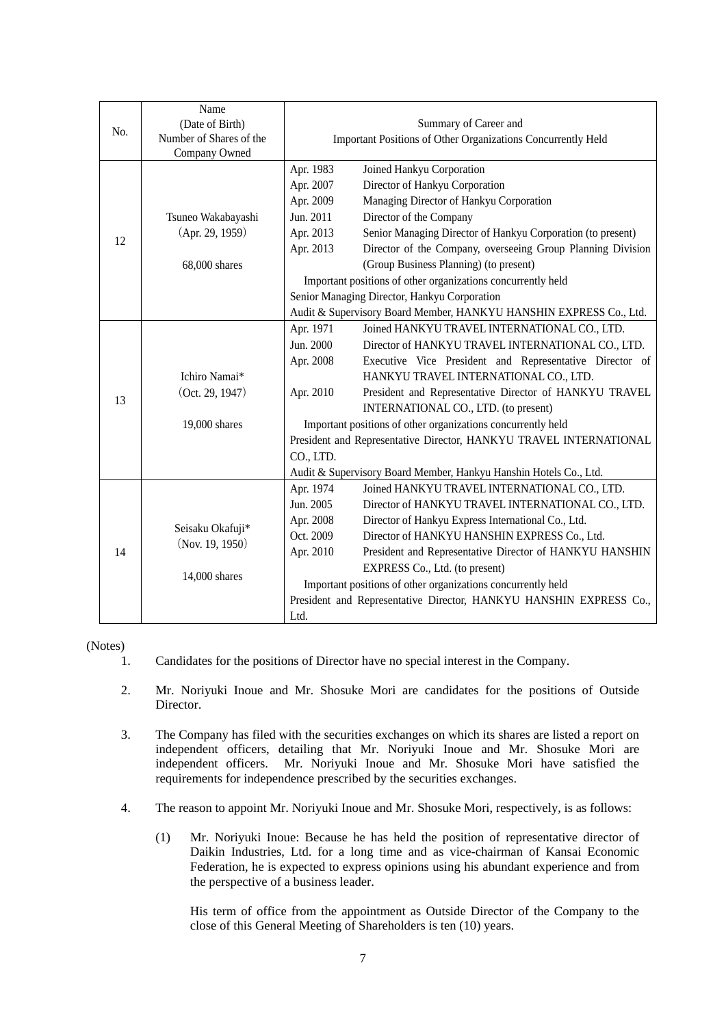| No. | Name<br>(Date of Birth)<br>Number of Shares of the<br>Company Owned |                                                                    | Summary of Career and<br>Important Positions of Other Organizations Concurrently Held |  |  |
|-----|---------------------------------------------------------------------|--------------------------------------------------------------------|---------------------------------------------------------------------------------------|--|--|
|     |                                                                     | Apr. 1983                                                          | Joined Hankyu Corporation                                                             |  |  |
|     |                                                                     | Apr. 2007                                                          | Director of Hankyu Corporation                                                        |  |  |
|     |                                                                     | Apr. 2009                                                          | Managing Director of Hankyu Corporation                                               |  |  |
|     | Tsuneo Wakabayashi                                                  | Jun. 2011                                                          | Director of the Company                                                               |  |  |
| 12  | (Apr. 29, 1959)                                                     | Apr. 2013                                                          | Senior Managing Director of Hankyu Corporation (to present)                           |  |  |
|     |                                                                     | Apr. 2013                                                          | Director of the Company, overseeing Group Planning Division                           |  |  |
|     | 68,000 shares                                                       |                                                                    | (Group Business Planning) (to present)                                                |  |  |
|     |                                                                     |                                                                    | Important positions of other organizations concurrently held                          |  |  |
|     |                                                                     | Senior Managing Director, Hankyu Corporation                       |                                                                                       |  |  |
|     |                                                                     |                                                                    | Audit & Supervisory Board Member, HANKYU HANSHIN EXPRESS Co., Ltd.                    |  |  |
|     |                                                                     | Apr. 1971                                                          | Joined HANKYU TRAVEL INTERNATIONAL CO., LTD.                                          |  |  |
|     |                                                                     | Jun. 2000                                                          | Director of HANKYU TRAVEL INTERNATIONAL CO., LTD.                                     |  |  |
|     |                                                                     | Apr. 2008                                                          | Executive Vice President and Representative Director of                               |  |  |
|     | Ichiro Namai*                                                       |                                                                    | HANKYU TRAVEL INTERNATIONAL CO., LTD.                                                 |  |  |
| 13  | (Oct. 29, 1947)                                                     | Apr. 2010                                                          | President and Representative Director of HANKYU TRAVEL                                |  |  |
|     |                                                                     |                                                                    | INTERNATIONAL CO., LTD. (to present)                                                  |  |  |
|     | 19,000 shares                                                       |                                                                    | Important positions of other organizations concurrently held                          |  |  |
|     |                                                                     | President and Representative Director, HANKYU TRAVEL INTERNATIONAL |                                                                                       |  |  |
|     |                                                                     | CO., LTD.                                                          |                                                                                       |  |  |
|     |                                                                     | Audit & Supervisory Board Member, Hankyu Hanshin Hotels Co., Ltd.  |                                                                                       |  |  |
|     |                                                                     | Apr. 1974                                                          | Joined HANKYU TRAVEL INTERNATIONAL CO., LTD.                                          |  |  |
|     |                                                                     | Jun. 2005                                                          | Director of HANKYU TRAVEL INTERNATIONAL CO., LTD.                                     |  |  |
|     | Seisaku Okafuji*                                                    | Apr. 2008                                                          | Director of Hankyu Express International Co., Ltd.                                    |  |  |
|     | (Nov. 19, 1950)                                                     | Oct. 2009                                                          | Director of HANKYU HANSHIN EXPRESS Co., Ltd.                                          |  |  |
| 14  |                                                                     | Apr. 2010                                                          | President and Representative Director of HANKYU HANSHIN                               |  |  |
|     | 14,000 shares                                                       |                                                                    | EXPRESS Co., Ltd. (to present)                                                        |  |  |
|     |                                                                     | Important positions of other organizations concurrently held       |                                                                                       |  |  |
|     |                                                                     |                                                                    | President and Representative Director, HANKYU HANSHIN EXPRESS Co.,                    |  |  |
|     |                                                                     | Ltd.                                                               |                                                                                       |  |  |

(Notes)

- 1. Candidates for the positions of Director have no special interest in the Company.
- 2. Mr. Noriyuki Inoue and Mr. Shosuke Mori are candidates for the positions of Outside Director.
- 3. The Company has filed with the securities exchanges on which its shares are listed a report on independent officers, detailing that Mr. Noriyuki Inoue and Mr. Shosuke Mori are independent officers. Mr. Noriyuki Inoue and Mr. Shosuke Mori have satisfied the requirements for independence prescribed by the securities exchanges.
- 4. The reason to appoint Mr. Noriyuki Inoue and Mr. Shosuke Mori, respectively, is as follows:
	- (1) Mr. Noriyuki Inoue: Because he has held the position of representative director of Daikin Industries, Ltd. for a long time and as vice-chairman of Kansai Economic Federation, he is expected to express opinions using his abundant experience and from the perspective of a business leader.

 His term of office from the appointment as Outside Director of the Company to the close of this General Meeting of Shareholders is ten (10) years.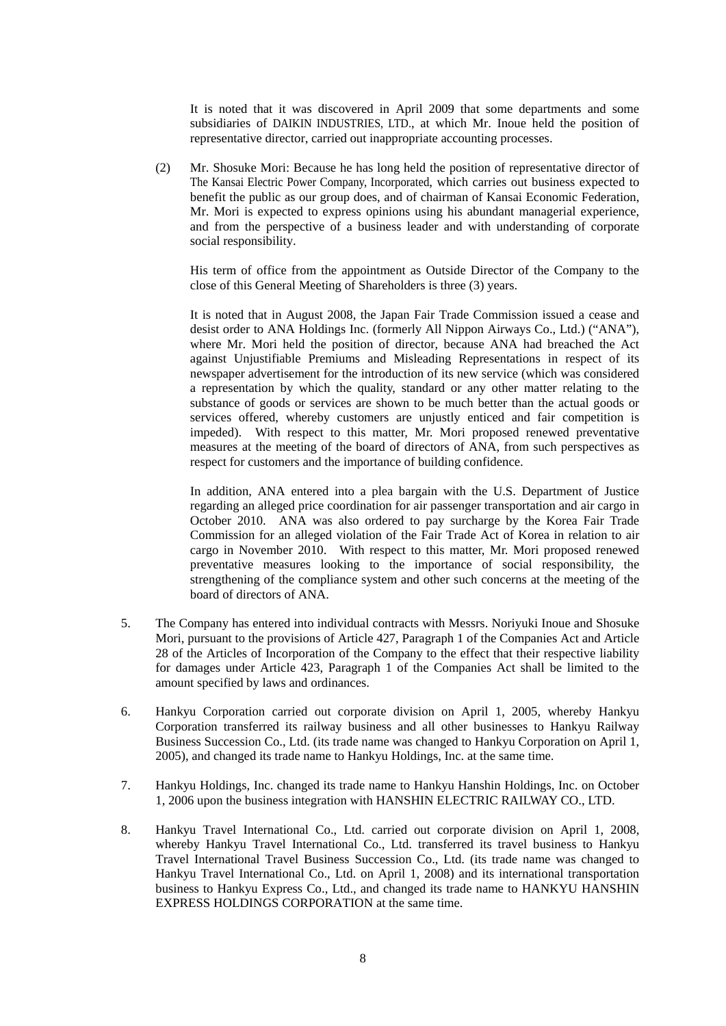It is noted that it was discovered in April 2009 that some departments and some subsidiaries of DAIKIN INDUSTRIES, LTD., at which Mr. Inoue held the position of representative director, carried out inappropriate accounting processes.

(2) Mr. Shosuke Mori: Because he has long held the position of representative director of The Kansai Electric Power Company, Incorporated, which carries out business expected to benefit the public as our group does, and of chairman of Kansai Economic Federation, Mr. Mori is expected to express opinions using his abundant managerial experience, and from the perspective of a business leader and with understanding of corporate social responsibility.

His term of office from the appointment as Outside Director of the Company to the close of this General Meeting of Shareholders is three (3) years.

It is noted that in August 2008, the Japan Fair Trade Commission issued a cease and desist order to ANA Holdings Inc. (formerly All Nippon Airways Co., Ltd.) ("ANA"), where Mr. Mori held the position of director, because ANA had breached the Act against Unjustifiable Premiums and Misleading Representations in respect of its newspaper advertisement for the introduction of its new service (which was considered a representation by which the quality, standard or any other matter relating to the substance of goods or services are shown to be much better than the actual goods or services offered, whereby customers are unjustly enticed and fair competition is impeded). With respect to this matter, Mr. Mori proposed renewed preventative measures at the meeting of the board of directors of ANA, from such perspectives as respect for customers and the importance of building confidence.

In addition, ANA entered into a plea bargain with the U.S. Department of Justice regarding an alleged price coordination for air passenger transportation and air cargo in October 2010. ANA was also ordered to pay surcharge by the Korea Fair Trade Commission for an alleged violation of the Fair Trade Act of Korea in relation to air cargo in November 2010. With respect to this matter, Mr. Mori proposed renewed preventative measures looking to the importance of social responsibility, the strengthening of the compliance system and other such concerns at the meeting of the board of directors of ANA.

- 5. The Company has entered into individual contracts with Messrs. Noriyuki Inoue and Shosuke Mori, pursuant to the provisions of Article 427, Paragraph 1 of the Companies Act and Article 28 of the Articles of Incorporation of the Company to the effect that their respective liability for damages under Article 423, Paragraph 1 of the Companies Act shall be limited to the amount specified by laws and ordinances.
- 6. Hankyu Corporation carried out corporate division on April 1, 2005, whereby Hankyu Corporation transferred its railway business and all other businesses to Hankyu Railway Business Succession Co., Ltd. (its trade name was changed to Hankyu Corporation on April 1, 2005), and changed its trade name to Hankyu Holdings, Inc. at the same time.
- 7. Hankyu Holdings, Inc. changed its trade name to Hankyu Hanshin Holdings, Inc. on October 1, 2006 upon the business integration with HANSHIN ELECTRIC RAILWAY CO., LTD.
- 8. Hankyu Travel International Co., Ltd. carried out corporate division on April 1, 2008, whereby Hankyu Travel International Co., Ltd. transferred its travel business to Hankyu Travel International Travel Business Succession Co., Ltd. (its trade name was changed to Hankyu Travel International Co., Ltd. on April 1, 2008) and its international transportation business to Hankyu Express Co., Ltd., and changed its trade name to HANKYU HANSHIN EXPRESS HOLDINGS CORPORATION at the same time.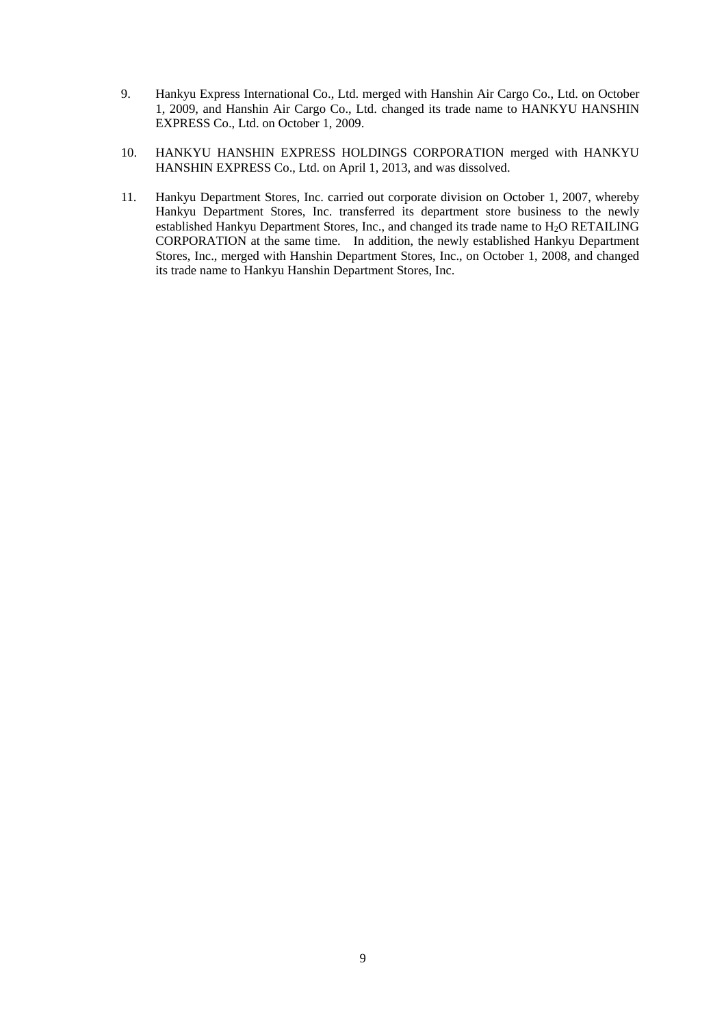- 9. Hankyu Express International Co., Ltd. merged with Hanshin Air Cargo Co., Ltd. on October 1, 2009, and Hanshin Air Cargo Co., Ltd. changed its trade name to HANKYU HANSHIN EXPRESS Co., Ltd. on October 1, 2009.
- 10. HANKYU HANSHIN EXPRESS HOLDINGS CORPORATION merged with HANKYU HANSHIN EXPRESS Co., Ltd. on April 1, 2013, and was dissolved.
- 11. Hankyu Department Stores, Inc. carried out corporate division on October 1, 2007, whereby Hankyu Department Stores, Inc. transferred its department store business to the newly established Hankyu Department Stores, Inc., and changed its trade name to  $H_2O$  RETAILING CORPORATION at the same time. In addition, the newly established Hankyu Department Stores, Inc., merged with Hanshin Department Stores, Inc., on October 1, 2008, and changed its trade name to Hankyu Hanshin Department Stores, Inc.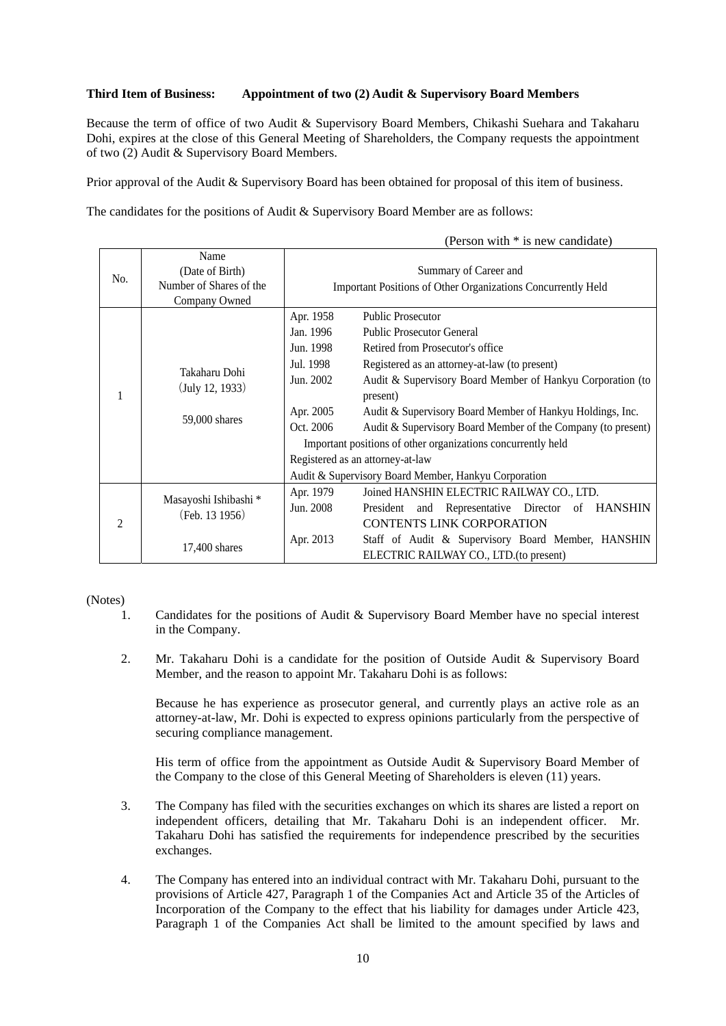# **Third Item of Business: Appointment of two (2) Audit & Supervisory Board Members**

Because the term of office of two Audit & Supervisory Board Members, Chikashi Suehara and Takaharu Dohi, expires at the close of this General Meeting of Shareholders, the Company requests the appointment of two (2) Audit & Supervisory Board Members.

Prior approval of the Audit & Supervisory Board has been obtained for proposal of this item of business.

The candidates for the positions of Audit & Supervisory Board Member are as follows:

|                |                                                                     | $(1 \text{ coson with } 15 \text{ sec}$ candidate,                                                                                                                                                                                                                                                                                                                                                                                                                                                                                                                                                              |
|----------------|---------------------------------------------------------------------|-----------------------------------------------------------------------------------------------------------------------------------------------------------------------------------------------------------------------------------------------------------------------------------------------------------------------------------------------------------------------------------------------------------------------------------------------------------------------------------------------------------------------------------------------------------------------------------------------------------------|
| No.            | Name<br>(Date of Birth)<br>Number of Shares of the<br>Company Owned | Summary of Career and<br>Important Positions of Other Organizations Concurrently Held                                                                                                                                                                                                                                                                                                                                                                                                                                                                                                                           |
| 1              | Takaharu Dohi<br>(July 12, 1933)<br>59,000 shares                   | Apr. 1958<br><b>Public Prosecutor</b><br>Jan. 1996<br><b>Public Prosecutor General</b><br>Jun. 1998<br>Retired from Prosecutor's office<br>Jul. 1998<br>Registered as an attorney-at-law (to present)<br>Jun. 2002<br>Audit & Supervisory Board Member of Hankyu Corporation (to<br>present)<br>Apr. 2005<br>Audit & Supervisory Board Member of Hankyu Holdings, Inc.<br>Oct. 2006<br>Audit & Supervisory Board Member of the Company (to present)<br>Important positions of other organizations concurrently held<br>Registered as an attorney-at-law<br>Audit & Supervisory Board Member, Hankyu Corporation |
| $\overline{c}$ | Masayoshi Ishibashi *<br>(Feb. 13 1956)<br>$17,400$ shares          | Joined HANSHIN ELECTRIC RAILWAY CO., LTD.<br>Apr. 1979<br>Jun. 2008<br>President and Representative Director of HANSHIN<br><b>CONTENTS LINK CORPORATION</b><br>Apr. 2013<br>Staff of Audit & Supervisory Board Member, HANSHIN<br>ELECTRIC RAILWAY CO., LTD.(to present)                                                                                                                                                                                                                                                                                                                                        |

(Person with \* is new candidate)

(Notes)

- 1. Candidates for the positions of Audit & Supervisory Board Member have no special interest in the Company.
- 2. Mr. Takaharu Dohi is a candidate for the position of Outside Audit & Supervisory Board Member, and the reason to appoint Mr. Takaharu Dohi is as follows:

 Because he has experience as prosecutor general, and currently plays an active role as an attorney-at-law, Mr. Dohi is expected to express opinions particularly from the perspective of securing compliance management.

 His term of office from the appointment as Outside Audit & Supervisory Board Member of the Company to the close of this General Meeting of Shareholders is eleven (11) years.

- 3. The Company has filed with the securities exchanges on which its shares are listed a report on independent officers, detailing that Mr. Takaharu Dohi is an independent officer. Mr. Takaharu Dohi has satisfied the requirements for independence prescribed by the securities exchanges.
- 4. The Company has entered into an individual contract with Mr. Takaharu Dohi, pursuant to the provisions of Article 427, Paragraph 1 of the Companies Act and Article 35 of the Articles of Incorporation of the Company to the effect that his liability for damages under Article 423, Paragraph 1 of the Companies Act shall be limited to the amount specified by laws and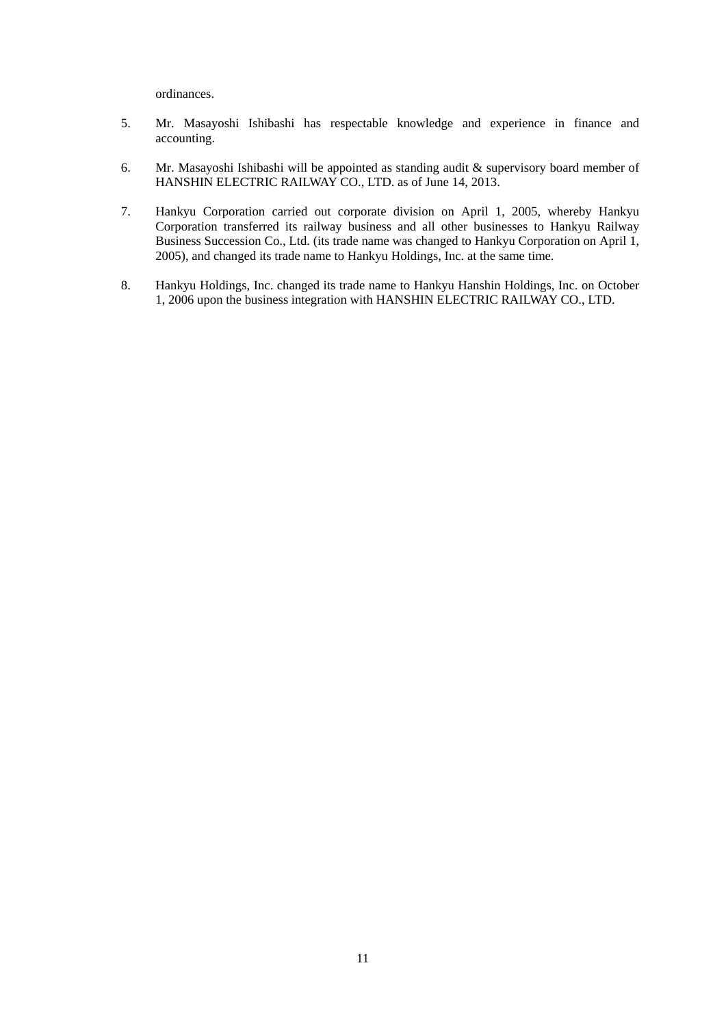ordinances.

- 5. Mr. Masayoshi Ishibashi has respectable knowledge and experience in finance and accounting.
- 6. Mr. Masayoshi Ishibashi will be appointed as standing audit  $\&$  supervisory board member of HANSHIN ELECTRIC RAILWAY CO., LTD. as of June 14, 2013.
- 7. Hankyu Corporation carried out corporate division on April 1, 2005, whereby Hankyu Corporation transferred its railway business and all other businesses to Hankyu Railway Business Succession Co., Ltd. (its trade name was changed to Hankyu Corporation on April 1, 2005), and changed its trade name to Hankyu Holdings, Inc. at the same time.
- 8. Hankyu Holdings, Inc. changed its trade name to Hankyu Hanshin Holdings, Inc. on October 1, 2006 upon the business integration with HANSHIN ELECTRIC RAILWAY CO., LTD.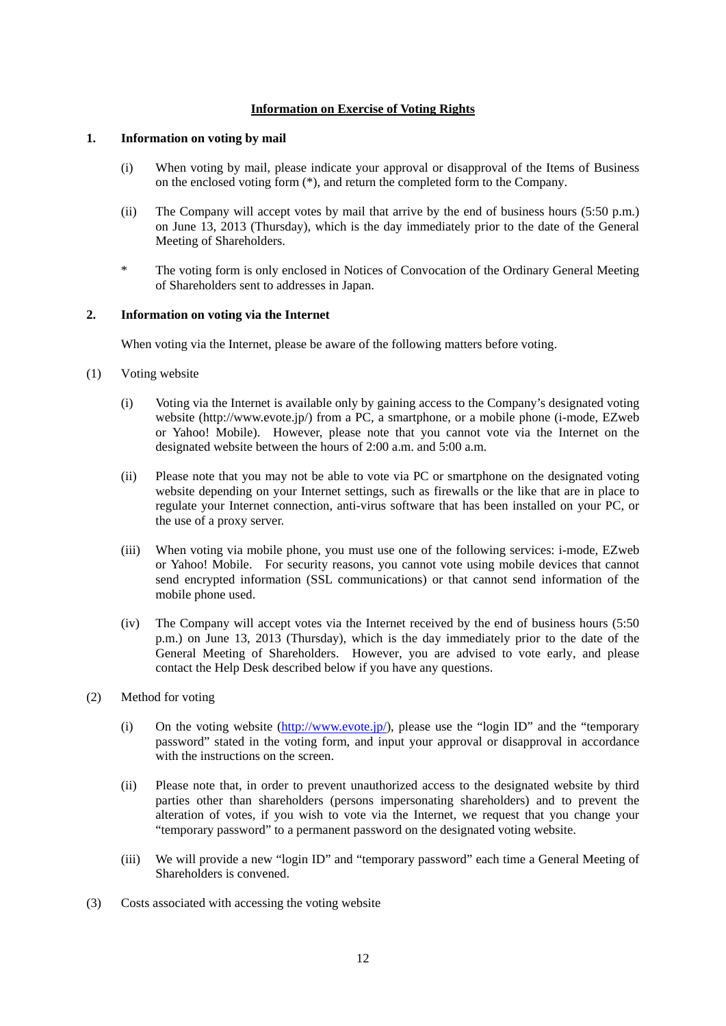## **Information on Exercise of Voting Rights**

### **1. Information on voting by mail**

- (i) When voting by mail, please indicate your approval or disapproval of the Items of Business on the enclosed voting form (\*), and return the completed form to the Company.
- (ii) The Company will accept votes by mail that arrive by the end of business hours  $(5:50 \text{ p.m.})$ on June 13, 2013 (Thursday), which is the day immediately prior to the date of the General Meeting of Shareholders.
- \* The voting form is only enclosed in Notices of Convocation of the Ordinary General Meeting of Shareholders sent to addresses in Japan.

### **2. Information on voting via the Internet**

When voting via the Internet, please be aware of the following matters before voting.

- (1) Voting website
	- (i) Voting via the Internet is available only by gaining access to the Company's designated voting website (http://www.evote.jp/) from a PC, a smartphone, or a mobile phone (i-mode, EZweb or Yahoo! Mobile). However, please note that you cannot vote via the Internet on the designated website between the hours of 2:00 a.m. and 5:00 a.m.
	- (ii) Please note that you may not be able to vote via PC or smartphone on the designated voting website depending on your Internet settings, such as firewalls or the like that are in place to regulate your Internet connection, anti-virus software that has been installed on your PC, or the use of a proxy server.
	- (iii) When voting via mobile phone, you must use one of the following services: i-mode, EZweb or Yahoo! Mobile. For security reasons, you cannot vote using mobile devices that cannot send encrypted information (SSL communications) or that cannot send information of the mobile phone used.
	- (iv) The Company will accept votes via the Internet received by the end of business hours (5:50 p.m.) on June 13, 2013 (Thursday), which is the day immediately prior to the date of the General Meeting of Shareholders. However, you are advised to vote early, and please contact the Help Desk described below if you have any questions.
- (2) Method for voting
	- (i) On the voting website (http://www.evote.jp/), please use the "login ID" and the "temporary password" stated in the voting form, and input your approval or disapproval in accordance with the instructions on the screen.
	- (ii) Please note that, in order to prevent unauthorized access to the designated website by third parties other than shareholders (persons impersonating shareholders) and to prevent the alteration of votes, if you wish to vote via the Internet, we request that you change your "temporary password" to a permanent password on the designated voting website.
	- (iii) We will provide a new "login ID" and "temporary password" each time a General Meeting of Shareholders is convened.
- (3) Costs associated with accessing the voting website